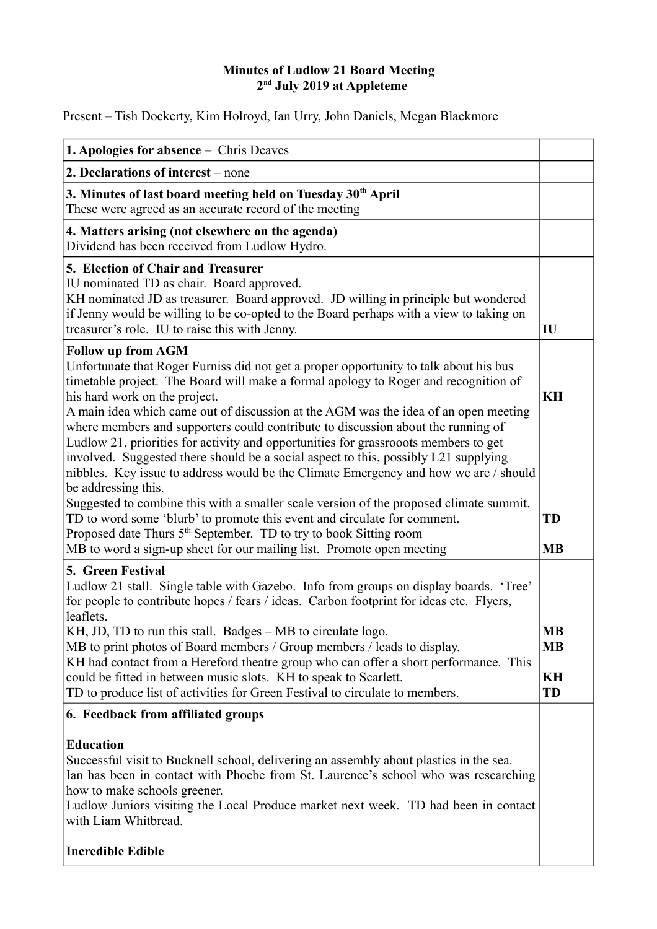## **Minutes of Ludlow 21 Board Meeting 2nd July 2019 at Appleteme**

Present – Tish Dockerty, Kim Holroyd, Ian Urry, John Daniels, Megan Blackmore

| <b>1. Apologies for absence – Chris Deaves</b>                                                                                                                                                                                                                                                                                                                                                                                                                                                                                                                                                      |                              |
|-----------------------------------------------------------------------------------------------------------------------------------------------------------------------------------------------------------------------------------------------------------------------------------------------------------------------------------------------------------------------------------------------------------------------------------------------------------------------------------------------------------------------------------------------------------------------------------------------------|------------------------------|
| 2. Declarations of interest – none                                                                                                                                                                                                                                                                                                                                                                                                                                                                                                                                                                  |                              |
| 3. Minutes of last board meeting held on Tuesday 30 <sup>th</sup> April<br>These were agreed as an accurate record of the meeting                                                                                                                                                                                                                                                                                                                                                                                                                                                                   |                              |
| 4. Matters arising (not elsewhere on the agenda)<br>Dividend has been received from Ludlow Hydro.                                                                                                                                                                                                                                                                                                                                                                                                                                                                                                   |                              |
| 5. Election of Chair and Treasurer<br>IU nominated TD as chair. Board approved.<br>KH nominated JD as treasurer. Board approved. JD willing in principle but wondered<br>if Jenny would be willing to be co-opted to the Board perhaps with a view to taking on<br>treasurer's role. IU to raise this with Jenny.                                                                                                                                                                                                                                                                                   | IU                           |
| <b>Follow up from AGM</b><br>Unfortunate that Roger Furniss did not get a proper opportunity to talk about his bus<br>timetable project. The Board will make a formal apology to Roger and recognition of<br>his hard work on the project.<br>A main idea which came out of discussion at the AGM was the idea of an open meeting<br>where members and supporters could contribute to discussion about the running of<br>Ludlow 21, priorities for activity and opportunities for grassrooots members to get<br>involved. Suggested there should be a social aspect to this, possibly L21 supplying | KH                           |
| nibbles. Key issue to address would be the Climate Emergency and how we are / should<br>be addressing this.<br>Suggested to combine this with a smaller scale version of the proposed climate summit.<br>TD to word some 'blurb' to promote this event and circulate for comment.<br>Proposed date Thurs 5 <sup>th</sup> September. TD to try to book Sitting room<br>MB to word a sign-up sheet for our mailing list. Promote open meeting                                                                                                                                                         | <b>TD</b><br><b>MB</b>       |
| 5. Green Festival<br>Ludlow 21 stall. Single table with Gazebo. Info from groups on display boards. 'Tree'<br>for people to contribute hopes / fears / ideas. Carbon footprint for ideas etc. Flyers,<br>leaflets.<br>KH, JD, TD to run this stall. Badges - MB to circulate logo.                                                                                                                                                                                                                                                                                                                  | <b>MB</b>                    |
| MB to print photos of Board members / Group members / leads to display.<br>KH had contact from a Hereford theatre group who can offer a short performance. This<br>could be fitted in between music slots. KH to speak to Scarlett.<br>TD to produce list of activities for Green Festival to circulate to members.                                                                                                                                                                                                                                                                                 | <b>MB</b><br>KH<br><b>TD</b> |
| 6. Feedback from affiliated groups                                                                                                                                                                                                                                                                                                                                                                                                                                                                                                                                                                  |                              |
| <b>Education</b><br>Successful visit to Bucknell school, delivering an assembly about plastics in the sea.<br>Ian has been in contact with Phoebe from St. Laurence's school who was researching<br>how to make schools greener.<br>Ludlow Juniors visiting the Local Produce market next week. TD had been in contact<br>with Liam Whitbread.                                                                                                                                                                                                                                                      |                              |
| <b>Incredible Edible</b>                                                                                                                                                                                                                                                                                                                                                                                                                                                                                                                                                                            |                              |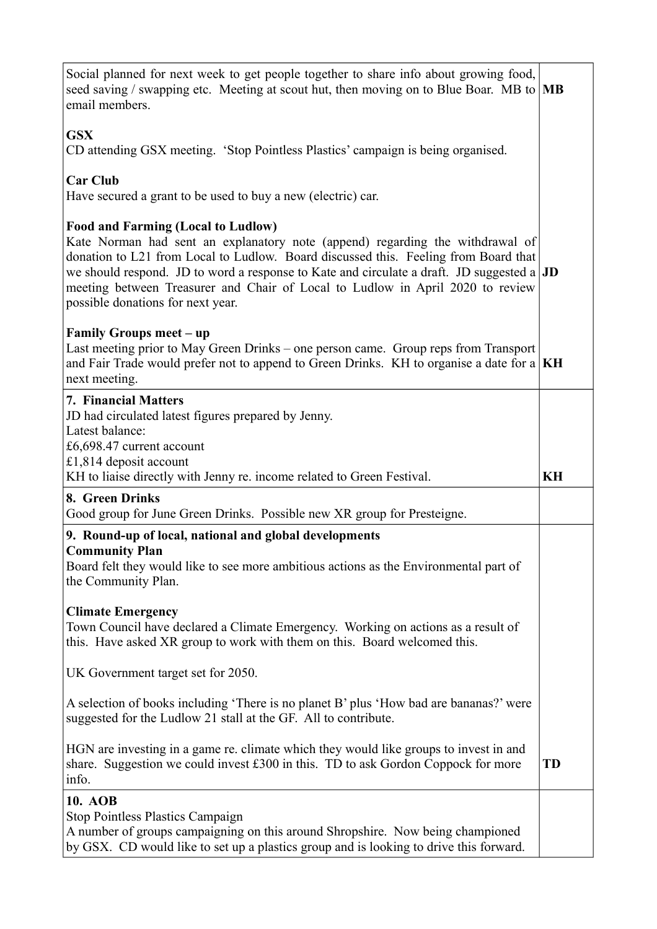| Social planned for next week to get people together to share info about growing food,<br>seed saving / swapping etc. Meeting at scout hut, then moving on to Blue Boar. MB to $ \text{MB} \$<br>email members.                                                                                                                                                                                                                           |           |
|------------------------------------------------------------------------------------------------------------------------------------------------------------------------------------------------------------------------------------------------------------------------------------------------------------------------------------------------------------------------------------------------------------------------------------------|-----------|
| <b>GSX</b><br>CD attending GSX meeting. 'Stop Pointless Plastics' campaign is being organised.                                                                                                                                                                                                                                                                                                                                           |           |
| <b>Car Club</b><br>Have secured a grant to be used to buy a new (electric) car.                                                                                                                                                                                                                                                                                                                                                          |           |
| <b>Food and Farming (Local to Ludlow)</b><br>Kate Norman had sent an explanatory note (append) regarding the withdrawal of<br>donation to L21 from Local to Ludlow. Board discussed this. Feeling from Board that<br>we should respond. JD to word a response to Kate and circulate a draft. JD suggested a $ JD$<br>meeting between Treasurer and Chair of Local to Ludlow in April 2020 to review<br>possible donations for next year. |           |
| Family Groups meet – up<br>Last meeting prior to May Green Drinks – one person came. Group reps from Transport<br>and Fair Trade would prefer not to append to Green Drinks. KH to organise a date for a $\vert$ KH<br>next meeting.                                                                                                                                                                                                     |           |
| <b>7. Financial Matters</b><br>JD had circulated latest figures prepared by Jenny.<br>Latest balance:<br>£6,698.47 current account<br>£1,814 deposit account                                                                                                                                                                                                                                                                             |           |
|                                                                                                                                                                                                                                                                                                                                                                                                                                          |           |
| KH to liaise directly with Jenny re. income related to Green Festival.<br>8. Green Drinks<br>Good group for June Green Drinks. Possible new XR group for Presteigne.                                                                                                                                                                                                                                                                     | KH        |
| 9. Round-up of local, national and global developments<br><b>Community Plan</b><br>Board felt they would like to see more ambitious actions as the Environmental part of<br>the Community Plan.                                                                                                                                                                                                                                          |           |
| <b>Climate Emergency</b><br>Town Council have declared a Climate Emergency. Working on actions as a result of<br>this. Have asked XR group to work with them on this. Board welcomed this.                                                                                                                                                                                                                                               |           |
| UK Government target set for 2050.                                                                                                                                                                                                                                                                                                                                                                                                       |           |
| A selection of books including 'There is no planet B' plus 'How bad are bananas?' were<br>suggested for the Ludlow 21 stall at the GF. All to contribute.                                                                                                                                                                                                                                                                                |           |
| HGN are investing in a game re. climate which they would like groups to invest in and<br>share. Suggestion we could invest £300 in this. TD to ask Gordon Coppock for more<br>info.                                                                                                                                                                                                                                                      | <b>TD</b> |